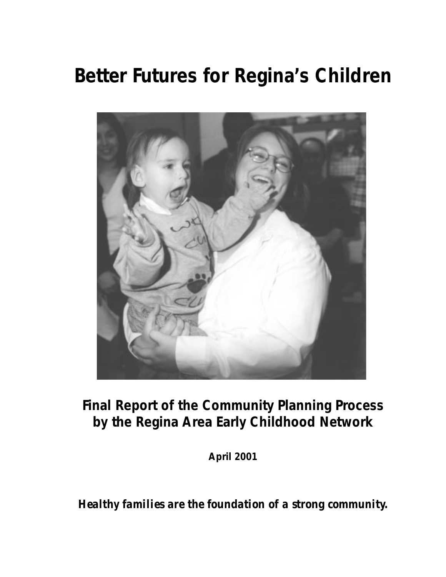# **Better Futures for Regina's Children**



# **Final Report of the Community Planning Process by the Regina Area Early Childhood Network**

**April 2001**

*Healthy families are the foundation of a strong community.*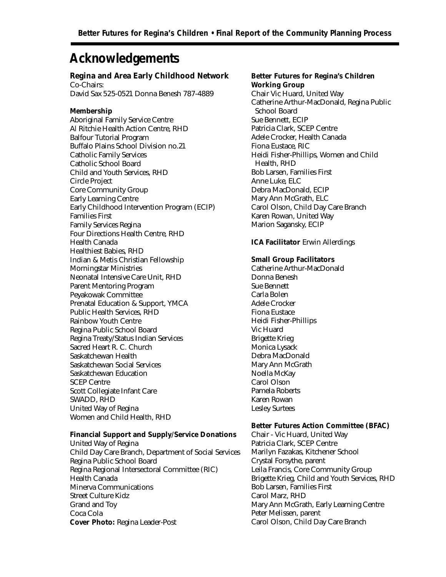# **Acknowledgements**

#### **Regina and Area Early Childhood Network**

Co-Chairs: David Sax 525-0521 Donna Benesh 787-4889

#### **Membership**

Aboriginal Family Service Centre Al Ritchie Health Action Centre, RHD Balfour Tutorial Program Buffalo Plains School Division no.21 Catholic Family Services Catholic School Board Child and Youth Services, RHD Circle Project Core Community Group Early Learning Centre Early Childhood Intervention Program (ECIP) Families First Family Services Regina Four Directions Health Centre, RHD Health Canada Healthiest Babies, RHD Indian & Metis Christian Fellowship Morningstar Ministries Neonatal Intensive Care Unit, RHD Parent Mentoring Program Peyakowak Committee Prenatal Education & Support, YMCA Public Health Services, RHD Rainbow Youth Centre Regina Public School Board Regina Treaty/Status Indian Services Sacred Heart R. C. Church Saskatchewan Health Saskatchewan Social Services Saskatchewan Education SCEP Centre Scott Collegiate Infant Care SWADD, RHD United Way of Regina Women and Child Health, RHD

#### **Financial Support and Supply/Service Donations**

United Way of Regina Child Day Care Branch, Department of Social Services Regina Public School Board Regina Regional Intersectoral Committee (RIC) Health Canada Minerva Communications Street Culture Kidz Grand and Toy Coca Cola **Cover Photo:** Regina Leader-Post

### **Better Futures for Regina's Children Working Group**

Chair Vic Huard, United Way Catherine Arthur-MacDonald, Regina Public School Board Sue Bennett, ECIP Patricia Clark, SCEP Centre Adele Crocker, Health Canada Fiona Eustace, RIC Heidi Fisher-Phillips, Women and Child Health, RHD Bob Larsen, Families First Anne Luke, ELC Debra MacDonald, ECIP Mary Ann McGrath, ELC Carol Olson, Child Day Care Branch Karen Rowan, United Way Marion Sagansky, ECIP

#### **ICA Facilitator** Erwin Allerdings

#### **Small Group Facilitators**

Catherine Arthur-MacDonald Donna Benesh Sue Bennett Carla Bolen Adele Crocker Fiona Eustace Heidi Fisher-Phillips Vic Huard Brigette Krieg Monica Lysack Debra MacDonald Mary Ann McGrath Noella McKay Carol Olson Pamela Roberts Karen Rowan Lesley Surtees

#### **Better Futures Action Committee (BFAC)**

Chair - Vic Huard, United Way Patricia Clark, SCEP Centre Marilyn Fazakas, Kitchener School Crystal Forsythe, parent Leila Francis, Core Community Group Brigette Krieg, Child and Youth Services, RHD Bob Larsen, Families First Carol Marz, RHD Mary Ann McGrath, Early Learning Centre Peter Melissen, parent Carol Olson, Child Day Care Branch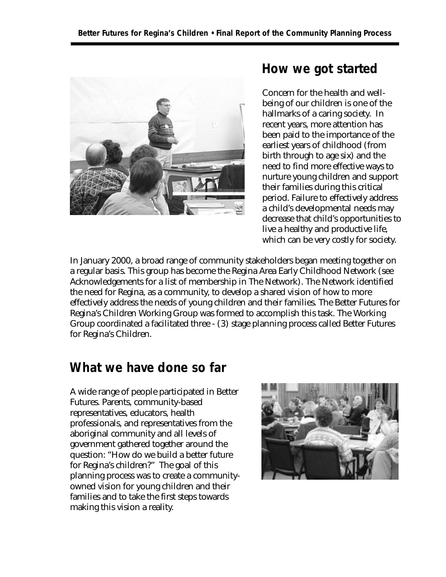

### **How we got started**

Concern for the health and wellbeing of our children is one of the hallmarks of a caring society. In recent years, more attention has been paid to the importance of the earliest years of childhood (from birth through to age six) and the need to find more effective ways to nurture young children and support their families during this critical period. Failure to effectively address a child's developmental needs may decrease that child's opportunities to live a healthy and productive life, which can be very costly for society.

In January 2000, a broad range of community stakeholders began meeting together on a regular basis. This group has become the Regina Area Early Childhood Network (see Acknowledgements for a list of membership in The Network). The Network identified the need for Regina, as a community, to develop a shared vision of how to more effectively address the needs of young children and their families. The Better Futures for Regina's Children Working Group was formed to accomplish this task. The Working Group coordinated a facilitated three - (3) stage planning process called Better Futures for Regina's Children.

## **What we have done so far**

A wide range of people participated in Better Futures. Parents, community-based representatives, educators, health professionals, and representatives from the aboriginal community and all levels of government gathered together around the question: "How do we build a better future for Regina's children?" The goal of this planning process was to create a communityowned vision for young children and their families and to take the first steps towards making this vision a reality.

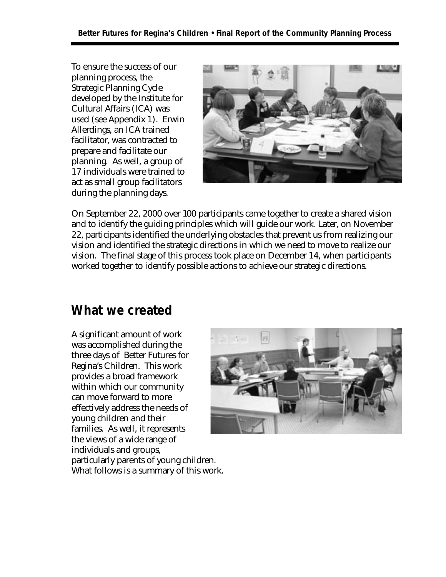To ensure the success of our planning process, the Strategic Planning Cycle developed by the Institute for Cultural Affairs (ICA) was used (see Appendix 1). Erwin Allerdings, an ICA trained facilitator, was contracted to prepare and facilitate our planning. As well, a group of 17 individuals were trained to act as small group facilitators during the planning days.



On September 22, 2000 over 100 participants came together to create a shared vision and to identify the guiding principles which will guide our work. Later, on November 22, participants identified the underlying obstacles that prevent us from realizing our vision and identified the strategic directions in which we need to move to realize our vision. The final stage of this process took place on December 14, when participants worked together to identify possible actions to achieve our strategic directions.

## **What we created**

A significant amount of work was accomplished during the three days of Better Futures for Regina's Children. This work provides a broad framework within which our community can move forward to more effectively address the needs of young children and their families. As well, it represents the views of a wide range of individuals and groups, particularly parents of young children. What follows is a summary of this work.

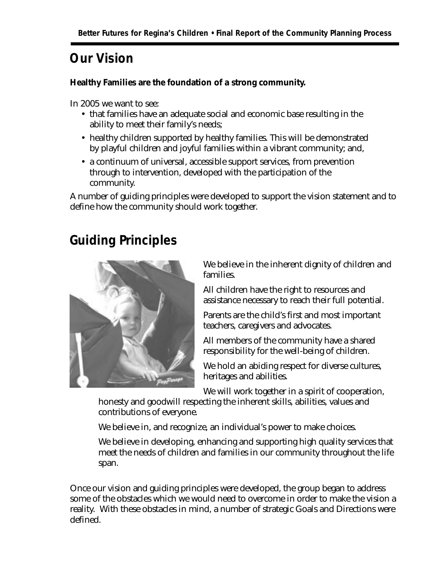# **Our Vision**

**Healthy Families are the foundation of a strong community.**

In 2005 we want to see:

- that families have an adequate social and economic base resulting in the ability to meet their family's needs;
- healthy children supported by healthy families. This will be demonstrated by playful children and joyful families within a vibrant community; and,
- a continuum of universal, accessible support services, from prevention through to intervention, developed with the participation of the community.

A number of guiding principles were developed to support the vision statement and to define how the community should work together.

# **Guiding Principles**



We believe in the inherent dignity of children and families.

All children have the right to resources and assistance necessary to reach their full potential.

Parents are the child's first and most important teachers, caregivers and advocates.

All members of the community have a shared responsibility for the well-being of children.

We hold an abiding respect for diverse cultures, heritages and abilities.

We will work together in a spirit of cooperation,

honesty and goodwill respecting the inherent skills, abilities, values and contributions of everyone.

We believe in, and recognize, an individual's power to make choices.

We believe in developing, enhancing and supporting high quality services that meet the needs of children and families in our community throughout the life span.

Once our vision and guiding principles were developed, the group began to address some of the obstacles which we would need to overcome in order to make the vision a reality. With these obstacles in mind, a number of strategic Goals and Directions were defined.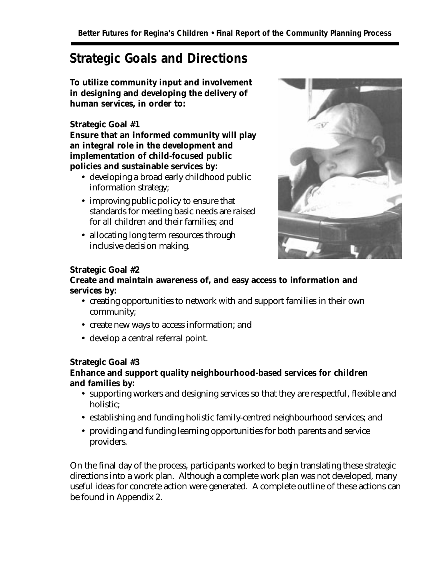# **Strategic Goals and Directions**

**To utilize community input and involvement in designing and developing the delivery of human services, in order to:**

#### **Strategic Goal #1**

**Ensure that an informed community will play an integral role in the development and implementation of child-focused public policies and sustainable services by:**

- developing a broad early childhood public information strategy;
- improving public policy to ensure that standards for meeting basic needs are raised for all children and their families; and
- allocating long term resources through inclusive decision making.



#### **Strategic Goal #2**

### **Create and maintain awareness of, and easy access to information and services by:**

- creating opportunities to network with and support families in their own community;
- create new ways to access information; and
- develop a central referral point.

#### **Strategic Goal #3**

### **Enhance and support quality neighbourhood-based services for children and families by:**

- supporting workers and designing services so that they are respectful, flexible and holistic;
- establishing and funding holistic family-centred neighbourhood services; and
- providing and funding learning opportunities for both parents and service providers.

On the final day of the process, participants worked to begin translating these strategic directions into a work plan. Although a complete work plan was not developed, many useful ideas for concrete action were generated. A complete outline of these actions can be found in Appendix 2.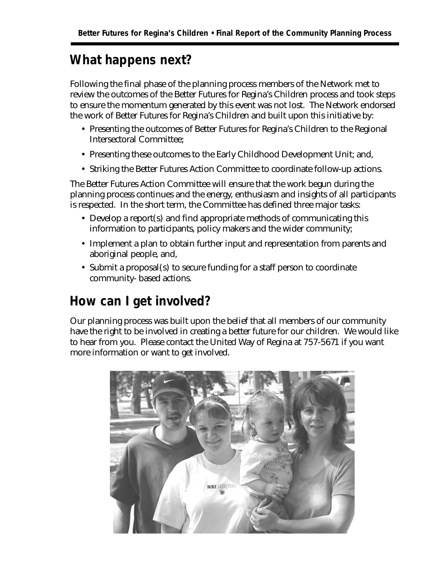# **What happens next?**

Following the final phase of the planning process members of the Network met to review the outcomes of the Better Futures for Regina's Children process and took steps to ensure the momentum generated by this event was not lost. The Network endorsed the work of Better Futures for Regina's Children and built upon this initiative by:

- Presenting the outcomes of Better Futures for Regina's Children to the Regional Intersectoral Committee;
- Presenting these outcomes to the Early Childhood Development Unit; and,
- Striking the Better Futures Action Committee to coordinate follow-up actions.

The Better Futures Action Committee will ensure that the work begun during the planning process continues and the energy, enthusiasm and insights of all participants is respected. In the short term, the Committee has defined three major tasks:

- Develop a report(s) and find appropriate methods of communicating this information to participants, policy makers and the wider community;
- Implement a plan to obtain further input and representation from parents and aboriginal people, and,
- Submit a proposal(s) to secure funding for a staff person to coordinate community- based actions.

# **How can I get involved?**

Our planning process was built upon the belief that all members of our community have the right to be involved in creating a better future for our children. We would like to hear from you. Please contact the United Way of Regina at 757-5671 if you want more information or want to get involved.

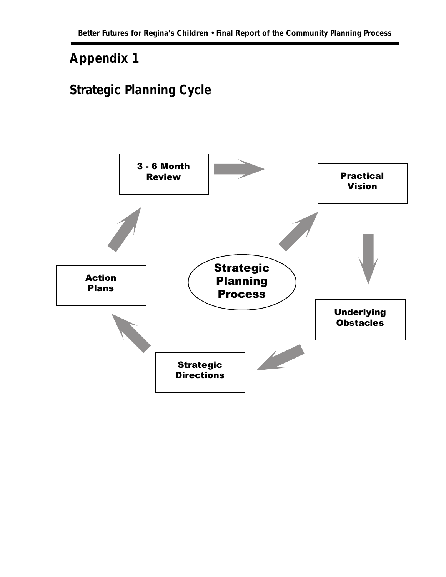# **Appendix 1**

# **Strategic Planning Cycle**

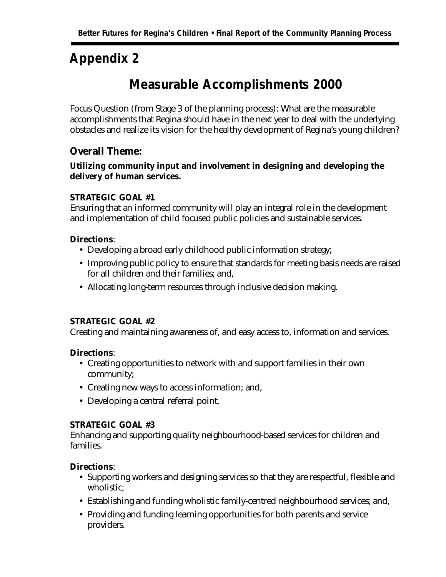# **Appendix 2**

# **Measurable Accomplishments 2000**

Focus Question (from Stage 3 of the planning process): What are the measurable accomplishments that Regina should have in the next year to deal with the underlying obstacles and realize its vision for the healthy development of Regina's young children?

### **Overall Theme:**

### **Utilizing community input and involvement in designing and developing the delivery of human services.**

#### **STRATEGIC GOAL #1**

Ensuring that an informed community will play an integral role in the development and implementation of child focused public policies and sustainable services.

#### **Directions**:

- Developing a broad early childhood public information strategy;
- Improving public policy to ensure that standards for meeting basis needs are raised for all children and their families; and,
- Allocating long-term resources through inclusive decision making.

#### **STRATEGIC GOAL #2**

Creating and maintaining awareness of, and easy access to, information and services.

#### **Directions**:

- Creating opportunities to network with and support families in their own community;
- Creating new ways to access information; and,
- Developing a central referral point.

#### **STRATEGIC GOAL #3**

Enhancing and supporting quality neighbourhood-based services for children and families.

#### **Directions**:

- Supporting workers and designing services so that they are respectful, flexible and wholistic;
- Establishing and funding wholistic family-centred neighbourhood services; and,
- Providing and funding learning opportunities for both parents and service providers.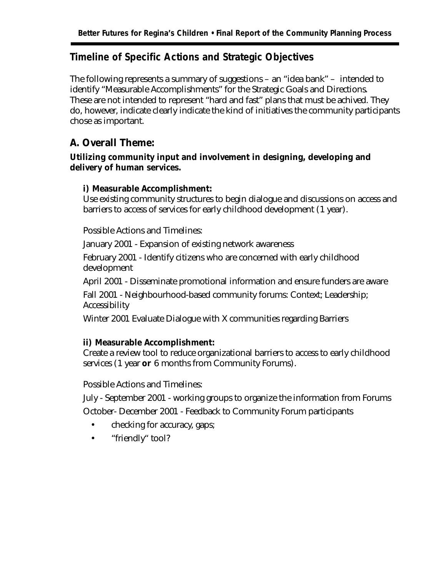### **Timeline of Specific Actions and Strategic Objectives**

The following represents a summary of suggestions – an "idea bank" – intended to identify "Measurable Accomplishments" for the Strategic Goals and Directions. These are not intended to represent "hard and fast" plans that must be achived. They do, however, indicate clearly indicate the kind of initiatives the community participants chose as important.

### **A. Overall Theme:**

### **Utilizing community input and involvement in designing, developing and delivery of human services.**

### **i) Measurable Accomplishment:**

Use existing community structures to begin dialogue and discussions on access and barriers to access of services for early childhood development (1 year).

Possible Actions and Timelines:

January 2001 - Expansion of existing network awareness

February 2001 - Identify citizens who are concerned with early childhood development

April 2001 - Disseminate promotional information and ensure funders are aware

Fall 2001 - Neighbourhood-based community forums: Context; Leadership; Accessibility

Winter 2001 Evaluate Dialogue with X communities regarding Barriers

#### **ii) Measurable Accomplishment:**

Create a review tool to reduce organizational barriers to access to early childhood services (1 year **or** 6 months from Community Forums).

Possible Actions and Timelines:

July - September 2001 - working groups to organize the information from Forums October- December 2001 - Feedback to Community Forum participants

- checking for accuracy, gaps;
- "friendly" tool?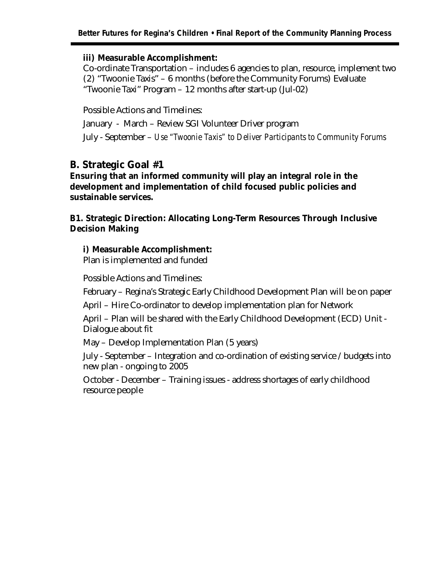#### **Better Futures for Regina's Children • Final Report of the Community Planning Process**

#### **iii) Measurable Accomplishment:**

Co-ordinate Transportation – includes 6 agencies to plan, resource, implement two (2) "Twoonie Taxis" – 6 months (before the Community Forums) Evaluate "Twoonie Taxi" Program – 12 months after start-up (Jul-02)

Possible Actions and Timelines: January - March – Review SGI Volunteer Driver program July - September – *Use "Twoonie Taxis" to Deliver Participants to Community Forums*

### **B. Strategic Goal #1**

**Ensuring that an informed community will play an integral role in the development and implementation of child focused public policies and sustainable services.**

**B1. Strategic Direction: Allocating Long-Term Resources Through Inclusive Decision Making**

#### **i) Measurable Accomplishment:**

Plan is implemented and funded

Possible Actions and Timelines:

February – Regina's Strategic Early Childhood Development Plan will be on paper

April – Hire Co-ordinator to develop implementation plan for Network

April – Plan will be shared with the Early Childhood Development (ECD) Unit - Dialogue about fit

May – Develop Implementation Plan (5 years)

July - September – Integration and co-ordination of existing service / budgets into new plan - ongoing to 2005

October - December – Training issues - address shortages of early childhood resource people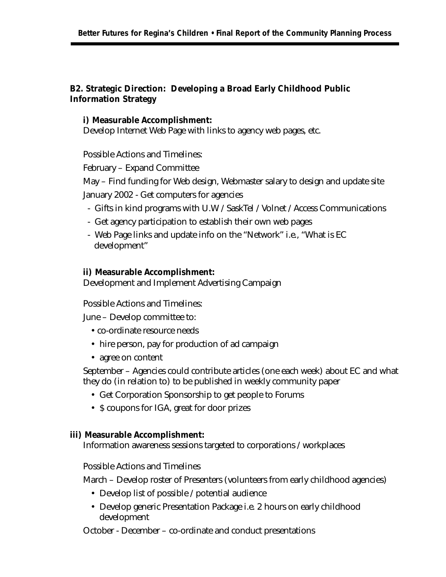### **B2. Strategic Direction: Developing a Broad Early Childhood Public Information Strategy**

#### **i) Measurable Accomplishment:**

Develop Internet Web Page with links to agency web pages, etc.

Possible Actions and Timelines:

February – Expand Committee

May – Find funding for Web design, Webmaster salary to design and update site January 2002 - Get computers for agencies

- Gifts in kind programs with U.W / SaskTel / Volnet / Access Communications
- Get agency participation to establish their own web pages
- Web Page links and update info on the "Network" i.e., "What is EC development"

#### **ii) Measurable Accomplishment:**

Development and Implement Advertising Campaign

Possible Actions and Timelines:

June – Develop committee to:

- co-ordinate resource needs
- hire person, pay for production of ad campaign
- agree on content

September – Agencies could contribute articles (one each week) about EC and what they do (in relation to) to be published in weekly community paper

- Get Corporation Sponsorship to get people to Forums
- \$ coupons for IGA, great for door prizes

#### **iii) Measurable Accomplishment:**

Information awareness sessions targeted to corporations / workplaces

Possible Actions and Timelines

March – Develop roster of Presenters (volunteers from early childhood agencies)

- Develop list of possible / potential audience
- Develop generic Presentation Package i.e. 2 hours on early childhood development

October - December – co-ordinate and conduct presentations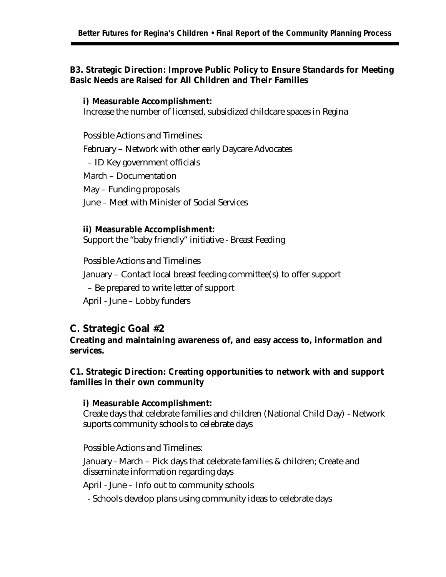#### **B3. Strategic Direction: Improve Public Policy to Ensure Standards for Meeting Basic Needs are Raised for All Children and Their Families**

#### **i) Measurable Accomplishment:**

Increase the number of licensed, subsidized childcare spaces in Regina

Possible Actions and Timelines: February – Network with other early Daycare Advocates – ID Key government officials March – Documentation May – Funding proposals June – Meet with Minister of Social Services

#### **ii) Measurable Accomplishment:**

Support the "baby friendly" initiative - Breast Feeding

Possible Actions and Timelines

January – Contact local breast feeding committee(s) to offer support

– Be prepared to write letter of support

April - June – Lobby funders

### **C. Strategic Goal #2**

**Creating and maintaining awareness of, and easy access to, information and services.**

**C1. Strategic Direction: Creating opportunities to network with and support families in their own community**

#### **i) Measurable Accomplishment:**

Create days that celebrate families and children (National Child Day) - Network suports community schools to celebrate days

Possible Actions and Timelines:

January - March – Pick days that celebrate families & children; Create and disseminate information regarding days

April - June – Info out to community schools

- Schools develop plans using community ideas to celebrate days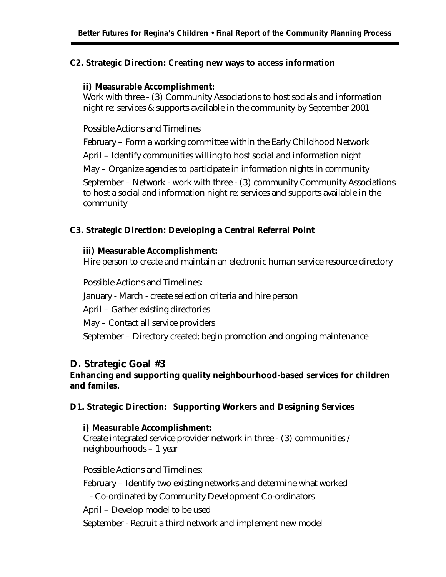#### **C2. Strategic Direction: Creating new ways to access information**

#### **ii) Measurable Accomplishment:**

Work with three - (3) Community Associations to host socials and information night re: services & supports available in the community by September 2001

Possible Actions and Timelines

February – Form a working committee within the Early Childhood Network

April – Identify communities willing to host social and information night

May – Organize agencies to participate in information nights in community

September – Network - work with three - (3) community Community Associations to host a social and information night re: services and supports available in the community

#### **C3. Strategic Direction: Developing a Central Referral Point**

#### **iii) Measurable Accomplishment:**

Hire person to create and maintain an electronic human service resource directory

Possible Actions and Timelines: January - March - create selection criteria and hire person April – Gather existing directories May – Contact all service providers September – Directory created; begin promotion and ongoing maintenance

### **D. Strategic Goal #3**

### **Enhancing and supporting quality neighbourhood-based services for children and familes.**

#### **D1. Strategic Direction: Supporting Workers and Designing Services**

#### **i) Measurable Accomplishment:**

Create integrated service provider network in three - (3) communities / neighbourhoods – 1 year

Possible Actions and Timelines:

February – Identify two existing networks and determine what worked

- Co-ordinated by Community Development Co-ordinators

April – Develop model to be used

September - Recruit a third network and implement new model